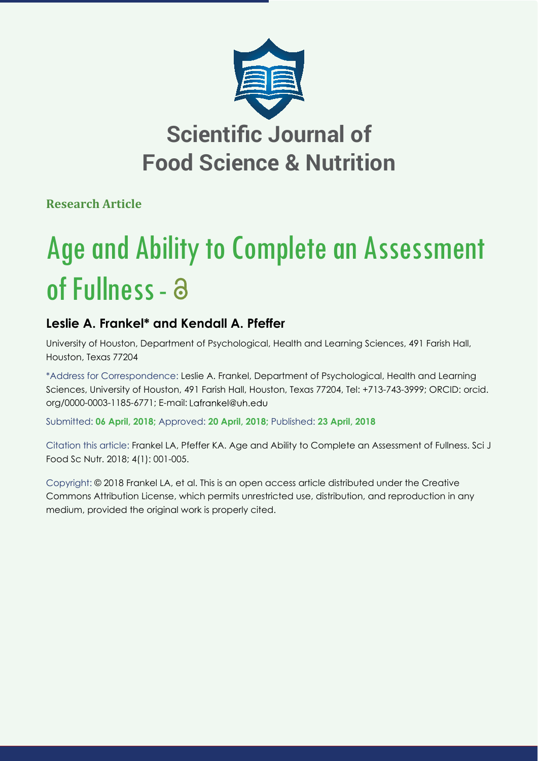

**Research Article**

# Age and Ability to Complete an Assessment of Fullness - a

# **Leslie A. Frankel\* and Kendall A. Pfeffer**

University of Houston, Department of Psychological, Health and Learning Sciences, 491 Farish Hall, Houston, Texas 77204

\*Address for Correspondence: Leslie A. Frankel, Department of Psychological, Health and Learning Sciences, University of Houston, 491 Farish Hall, Houston, Texas 77204, Tel: +713-743-3999; ORCID: orcid. org/0000-0003-1185-6771; E-mail:

Submitted: **06 April, 2018;** Approved: **20 April, 2018;** Published: **23 April, 2018**

Citation this article: Frankel LA, Pfeffer KA. Age and Ability to Complete an Assessment of Fullness. Sci J Food Sc Nutr. 2018; 4(1): 001-005.

Copyright: © 2018 Frankel LA, et al. This is an open access article distributed under the Creative Commons Attribution License, which permits unrestricted use, distribution, and reproduction in any medium, provided the original work is properly cited.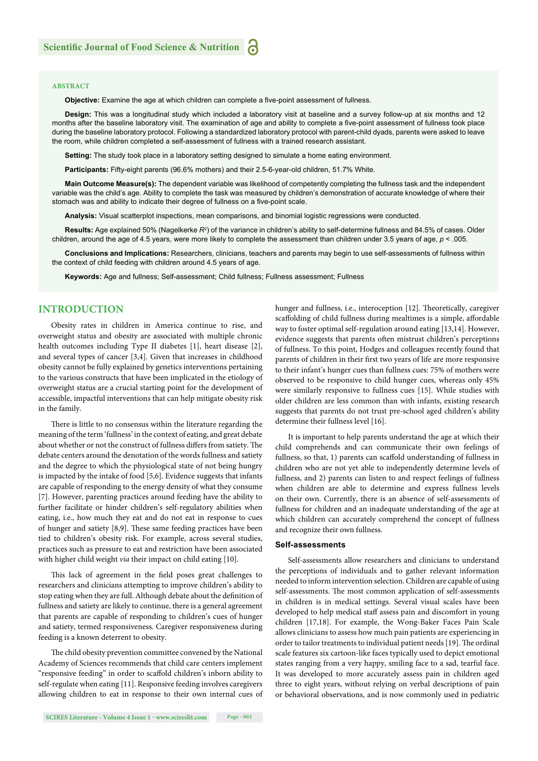#### **ABSTRACT**

**Objective:** Examine the age at which children can complete a five-point assessment of fullness.

**Design:** This was a longitudinal study which included a laboratory visit at baseline and a survey follow-up at six months and 12 months after the baseline laboratory visit. The examination of age and ability to complete a five-point assessment of fullness took place during the baseline laboratory protocol. Following a standardized laboratory protocol with parent-child dyads, parents were asked to leave the room, while children completed a self-assessment of fullness with a trained research assistant.

**Setting:** The study took place in a laboratory setting designed to simulate a home eating environment.

**Participants:** Fifty-eight parents (96.6% mothers) and their 2.5-6-year-old children, 51.7% White.

**Main Outcome Measure(s):** The dependent variable was likelihood of competently completing the fullness task and the independent variable was the child's age. Ability to complete the task was measured by children's demonstration of accurate knowledge of where their stomach was and ability to indicate their degree of fullness on a five-point scale.

**Analysis:** Visual scatterplot inspections, mean comparisons, and binomial logistic regressions were conducted.

Results: Age explained 50% (Nagelkerke R<sup>2</sup>) of the variance in children's ability to self-determine fullness and 84.5% of cases. Older children, around the age of 4.5 years, were more likely to complete the assessment than children under 3.5 years of age, *p* < .005.

**Conclusions and Implications:** Researchers, clinicians, teachers and parents may begin to use self-assessments of fullness within the context of child feeding with children around 4.5 years of age.

**Keywords:** Age and fullness; Self-assessment; Child fullness; Fullness assessment; Fullness

# **INTRODUCTION**

Obesity rates in children in America continue to rise, and overweight status and obesity are associated with multiple chronic health outcomes including Type II diabetes [1], heart disease [2], and several types of cancer [3,4]. Given that increases in childhood obesity cannot be fully explained by genetics interventions pertaining to the various constructs that have been implicated in the etiology of overweight status are a crucial starting point for the development of accessible, impactful interventions that can help mitigate obesity risk in the family.

There is little to no consensus within the literature regarding the meaning of the term 'fullness' in the context of eating, and great debate about whether or not the construct of fullness differs from satiety. The debate centers around the denotation of the words fullness and satiety and the degree to which the physiological state of not being hungry is impacted by the intake of food [5,6]. Evidence suggests that infants are capable of responding to the energy density of what they consume [7]. However, parenting practices around feeding have the ability to further facilitate or hinder children's self-regulatory abilities when eating, i.e., how much they eat and do not eat in response to cues of hunger and satiety [8,9]. These same feeding practices have been tied to children's obesity risk. For example, across several studies, practices such as pressure to eat and restriction have been associated with higher child weight *via* their impact on child eating [10].

This lack of agreement in the field poses great challenges to researchers and clinicians attempting to improve children's ability to stop eating when they are full. Although debate about the definition of fullness and satiety are likely to continue, there is a general agreement that parents are capable of responding to children's cues of hunger and satiety, termed responsiveness. Caregiver responsiveness during feeding is a known deterrent to obesity.

The child obesity prevention committee convened by the National Academy of Sciences recommends that child care centers implement "responsive feeding" in order to scaffold children's inborn ability to self-regulate when eating [11]. Responsive feeding involves caregivers allowing children to eat in response to their own internal cues of

**SCIRES Literature - Volume 4 Issue 1 - www.scireslit.com Page - 002**

hunger and fullness, i.e., interoception [12]. Theoretically, caregiver scaffolding of child fullness during mealtimes is a simple, affordable way to foster optimal self-regulation around eating [13,14]. However, evidence suggests that parents often mistrust children's perceptions of fullness. To this point, Hodges and colleagues recently found that parents of children in their first two years of life are more responsive to their infant's hunger cues than fullness cues: 75% of mothers were observed to be responsive to child hunger cues, whereas only 45% were similarly responsive to fullness cues [15]. While studies with older children are less common than with infants, existing research suggests that parents do not trust pre-school aged children's ability determine their fullness level [16].

It is important to help parents understand the age at which their child comprehends and can communicate their own feelings of fullness, so that, 1) parents can scaffold understanding of fullness in children who are not yet able to independently determine levels of fullness, and 2) parents can listen to and respect feelings of fullness when children are able to determine and express fullness levels on their own. Currently, there is an absence of self-assessments of fullness for children and an inadequate understanding of the age at which children can accurately comprehend the concept of fullness and recognize their own fullness.

#### **Self-assessments**

Self-assessments allow researchers and clinicians to understand the perceptions of individuals and to gather relevant information needed to inform intervention selection. Children are capable of using self-assessments. The most common application of self-assessments in children is in medical settings. Several visual scales have been developed to help medical staff assess pain and discomfort in young children [17,18]. For example, the Wong-Baker Faces Pain Scale allows clinicians to assess how much pain patients are experiencing in order to tailor treatments to individual patient needs [19]. The ordinal scale features six cartoon-like faces typically used to depict emotional states ranging from a very happy, smiling face to a sad, tearful face. It was developed to more accurately assess pain in children aged three to eight years, without relying on verbal descriptions of pain or behavioral observations, and is now commonly used in pediatric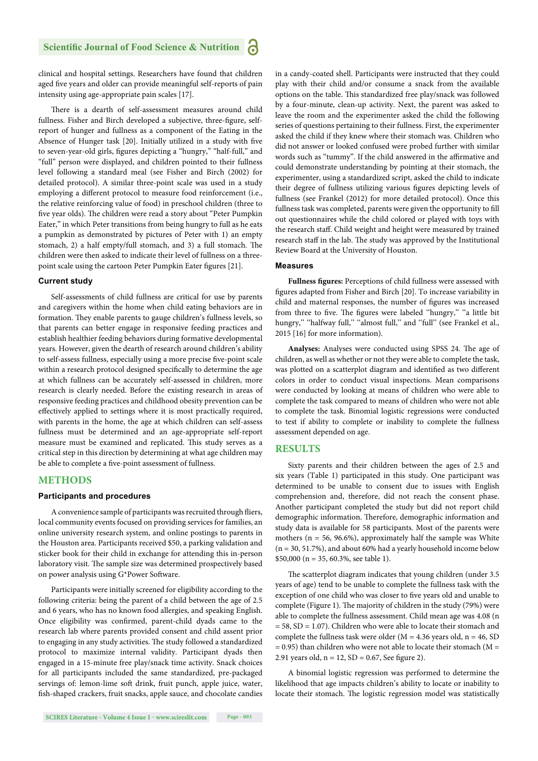# **Scientific Journal of Food Science & Nutrition**

clinical and hospital settings. Researchers have found that children aged five years and older can provide meaningful self-reports of pain intensity using age-appropriate pain scales [17].

There is a dearth of self-assessment measures around child fullness. Fisher and Birch developed a subjective, three-figure, selfreport of hunger and fullness as a component of the Eating in the Absence of Hunger task [20]. Initially utilized in a study with five to seven-year-old girls, figures depicting a "hungry," "half-full," and "full" person were displayed, and children pointed to their fullness level following a standard meal (see Fisher and Birch (2002) for detailed protocol). A similar three-point scale was used in a study employing a different protocol to measure food reinforcement (i.e., the relative reinforcing value of food) in preschool children (three to five year olds). The children were read a story about "Peter Pumpkin Eater," in which Peter transitions from being hungry to full as he eats a pumpkin as demonstrated by pictures of Peter with 1) an empty stomach, 2) a half empty/full stomach, and 3) a full stomach. The children were then asked to indicate their level of fullness on a threepoint scale using the cartoon Peter Pumpkin Eater figures [21].

#### **Current study**

Self-assessments of child fullness are critical for use by parents and caregivers within the home when child eating behaviors are in formation. They enable parents to gauge children's fullness levels, so that parents can better engage in responsive feeding practices and establish healthier feeding behaviors during formative developmental years. However, given the dearth of research around children's ability to self-assess fullness, especially using a more precise five-point scale within a research protocol designed specifically to determine the age at which fullness can be accurately self-assessed in children, more research is clearly needed. Before the existing research in areas of responsive feeding practices and childhood obesity prevention can be effectively applied to settings where it is most practically required, with parents in the home, the age at which children can self-assess fullness must be determined and an age-appropriate self-report measure must be examined and replicated. This study serves as a critical step in this direction by determining at what age children may be able to complete a five-point assessment of fullness.

### **METHODS**

#### **Participants and procedures**

A convenience sample of participants was recruited through fliers, local community events focused on providing services for families, an online university research system, and online postings to parents in the Houston area. Participants received \$50, a parking validation and sticker book for their child in exchange for attending this in-person laboratory visit. The sample size was determined prospectively based on power analysis using G\*Power Software.

Participants were initially screened for eligibility according to the following criteria: being the parent of a child between the age of 2.5 and 6 years, who has no known food allergies, and speaking English. Once eligibility was confirmed, parent-child dyads came to the research lab where parents provided consent and child assent prior to engaging in any study activities. The study followed a standardized protocol to maximize internal validity. Participant dyads then engaged in a 15-minute free play/snack time activity. Snack choices for all participants included the same standardized, pre-packaged servings of: lemon-lime soft drink, fruit punch, apple juice, water, fish-shaped crackers, fruit snacks, apple sauce, and chocolate candies in a candy-coated shell. Participants were instructed that they could play with their child and/or consume a snack from the available options on the table. This standardized free play/snack was followed by a four-minute, clean-up activity. Next, the parent was asked to leave the room and the experimenter asked the child the following series of questions pertaining to their fullness. First, the experimenter asked the child if they knew where their stomach was. Children who did not answer or looked confused were probed further with similar words such as "tummy". If the child answered in the affirmative and could demonstrate understanding by pointing at their stomach, the experimenter, using a standardized script, asked the child to indicate their degree of fullness utilizing various figures depicting levels of fullness (see Frankel (2012) for more detailed protocol). Once this fullness task was completed, parents were given the opportunity to fill out questionnaires while the child colored or played with toys with the research staff. Child weight and height were measured by trained research staff in the lab. The study was approved by the Institutional Review Board at the University of Houston.

#### **Measures**

Fullness figures: Perceptions of child fullness were assessed with figures adapted from Fisher and Birch [20]. To increase variability in child and maternal responses, the number of figures was increased from three to five. The figures were labeled "hungry," "a little bit hungry," "halfway full," "almost full," and "full" (see Frankel et al., 2015 [16] for more information).

Analyses: Analyses were conducted using SPSS 24. The age of children, as well as whether or not they were able to complete the task, was plotted on a scatterplot diagram and identified as two different colors in order to conduct visual inspections. Mean comparisons were conducted by looking at means of children who were able to complete the task compared to means of children who were not able to complete the task. Binomial logistic regressions were conducted to test if ability to complete or inability to complete the fullness assessment depended on age.

# **RESULTS**

Sixty parents and their children between the ages of 2.5 and six years (Table 1) participated in this study. One participant was determined to be unable to consent due to issues with English comprehension and, therefore, did not reach the consent phase. Another participant completed the study but did not report child demographic information. Therefore, demographic information and study data is available for 58 participants. Most of the parents were mothers ( $n = 56, 96.6\%$ ), approximately half the sample was White (n = 30, 51.7%), and about 60% had a yearly household income below \$50,000 (n = 35, 60.3%, see table 1).

The scatterplot diagram indicates that young children (under 3.5 years of age) tend to be unable to complete the fullness task with the exception of one child who was closer to five years old and unable to complete (Figure 1). The majority of children in the study (79%) were able to complete the fullness assessment. Child mean age was 4.08 (n = 58, SD = 1.07). Children who were able to locate their stomach and complete the fullness task were older ( $M = 4.36$  years old,  $n = 46$ , SD  $= 0.95$ ) than children who were not able to locate their stomach (M  $=$ 2.91 years old,  $n = 12$ ,  $SD = 0.67$ , See figure 2).

A binomial logistic regression was performed to determine the likelihood that age impacts children's ability to locate or inability to locate their stomach. The logistic regression model was statistically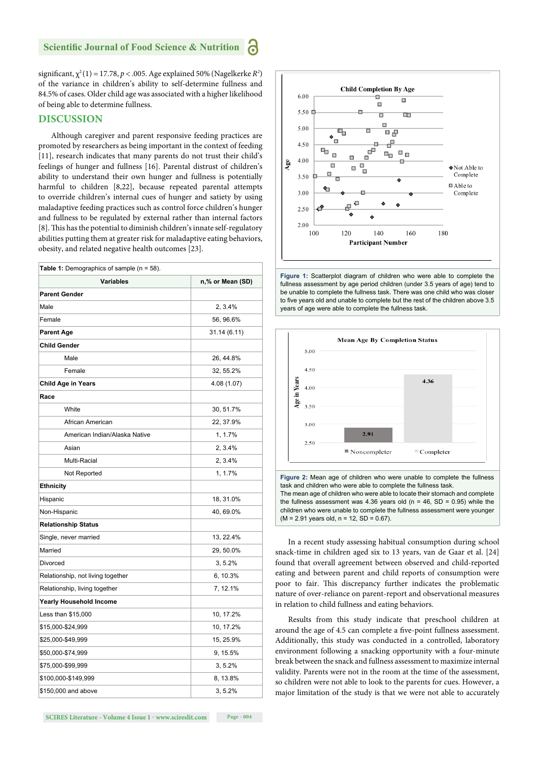#### **Scientific Journal of Food Science & Nutrition** а

significant,  $\chi^2(1) = 17.78$ ,  $p < .005$ . Age explained 50% (Nagelkerke  $R^2$ ) of the variance in children's ability to self-determine fullness and 84.5% of cases. Older child age was associated with a higher likelihood of being able to determine fullness.

# **DISCUSSION**

Although caregiver and parent responsive feeding practices are promoted by researchers as being important in the context of feeding [11], research indicates that many parents do not trust their child's feelings of hunger and fullness [16]. Parental distrust of children's ability to understand their own hunger and fullness is potentially harmful to children [8,22], because repeated parental attempts to override children's internal cues of hunger and satiety by using maladaptive feeding practices such as control force children's hunger and fullness to be regulated by external rather than internal factors [8]. This has the potential to diminish children's innate self-regulatory abilities putting them at greater risk for maladaptive eating behaviors, obesity, and related negative health outcomes [23].

| <b>Table 1:</b> Demographics of sample (n = 58). |                  |
|--------------------------------------------------|------------------|
| <b>Variables</b>                                 | n,% or Mean (SD) |
| <b>Parent Gender</b>                             |                  |
| Male                                             | 2, 3.4%          |
| Female                                           | 56, 96.6%        |
| Parent Age                                       | 31.14 (6.11)     |
| Child Gender                                     |                  |
| Male                                             | 26, 44.8%        |
| Female                                           | 32, 55.2%        |
| <b>Child Age in Years</b>                        | 4.08 (1.07)      |
| Race                                             |                  |
| White                                            | 30, 51.7%        |
| African American                                 | 22, 37.9%        |
| American Indian/Alaska Native                    | 1, 1.7%          |
| Asian                                            | 2, 3.4%          |
| Multi-Racial                                     | 2, 3.4%          |
| Not Reported                                     | 1, 1.7%          |
| <b>Ethnicity</b>                                 |                  |
| Hispanic                                         | 18, 31.0%        |
| Non-Hispanic                                     | 40, 69.0%        |
| <b>Relationship Status</b>                       |                  |
| Single, never married                            | 13, 22.4%        |
| Married                                          | 29, 50.0%        |
| Divorced                                         | 3, 5.2%          |
| Relationship, not living together                | 6, 10.3%         |
| Relationship, living together                    | 7, 12.1%         |
| Yearly Household Income                          |                  |
| Less than \$15,000                               | 10, 17.2%        |
| \$15,000-\$24,999                                | 10, 17.2%        |
| \$25,000-\$49,999                                | 15, 25.9%        |
| \$50,000-\$74,999                                | 9, 15.5%         |
| \$75,000-\$99,999                                | 3, 5.2%          |
| \$100,000-\$149,999                              | 8, 13.8%         |
| \$150,000 and above                              | 3, 5.2%          |







The mean age of children who were able to locate their stomach and complete the fullness assessment was 4.36 years old ( $n = 46$ , SD = 0.95) while the children who were unable to complete the fullness assessment were younger  $(M = 2.91$  years old,  $n = 12$ , SD = 0.67).

In a recent study assessing habitual consumption during school snack-time in children aged six to 13 years, van de Gaar et al. [24] found that overall agreement between observed and child-reported eating and between parent and child reports of consumption were poor to fair. This discrepancy further indicates the problematic nature of over-reliance on parent-report and observational measures in relation to child fullness and eating behaviors.

Results from this study indicate that preschool children at around the age of 4.5 can complete a five-point fullness assessment. Additionally, this study was conducted in a controlled, laboratory environment following a snacking opportunity with a four-minute break between the snack and fullness assessment to maximize internal validity. Parents were not in the room at the time of the assessment, so children were not able to look to the parents for cues. However, a major limitation of the study is that we were not able to accurately